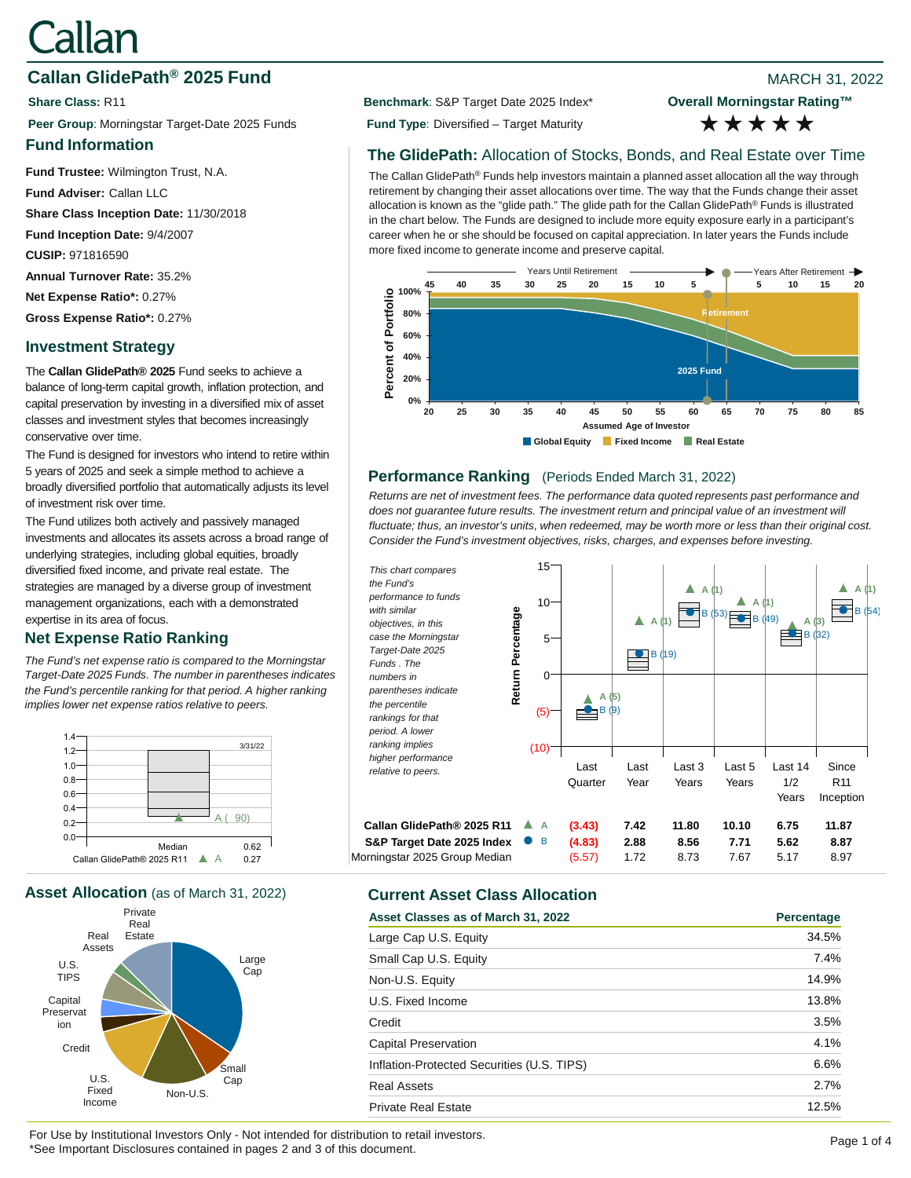# Callan

# **Callan GlidePath<sup>®</sup> 2025 Fund Callan Callan GlidePath<sup>®</sup> 2025 Fund**

**Peer Group**: Morningstar Target-Date 2025 Funds **Fund Type**: Diversified – Target Maturity

## **Fund Information**

**Fund Trustee:** Wilmington Trust, N.A.

**Fund Adviser:** Callan LLC

**Share Class Inception Date:** 11/30/2018

**Fund Inception Date:** 9/4/2007

**CUSIP:** 971816590

**Annual Turnover Rate:** 35.2%

**Net Expense Ratio\*:** 0.27%

**Gross Expense Ratio\*:** 0.27%

# **Investment Strategy**

The **Callan GlidePath® 2025** Fund seeks to achieve a balance of long-term capital growth, inflation protection, and capital preservation by investing in a diversified mix of asset classes and investment styles that becomes increasingly conservative over time.

The Fund is designed for investors who intend to retire within 5 years of 2025 and seek a simple method to achieve a broadly diversified portfolio that automatically adjusts its level of investment risk over time.

The Fund utilizes both actively and passively managed investments and allocates its assets across a broad range of underlying strategies, including global equities, broadly diversified fixed income, and private real estate. The strategies are managed by a diverse group of investment management organizations, each with a demonstrated expertise in its area of focus.

# **Net Expense Ratio Ranking**

*The Fund's net expense ratio is compared to the Morningstar Target-Date 2025 Funds. The number in parentheses indicates the Fund's percentile ranking for that period. A higher ranking implies lower net expense ratios relative to peers.*



**Asset Allocation** (as of March 31, 2022) **Current Asset Class Allocation**



**Share Class: R11 Benchmark: S&P Target Date 2025 Index\*** 

**Overall Morningstar Rating™** \*\*\*\*\*

# **The GlidePath:** Allocation of Stocks, Bonds, and Real Estate over Time

The Callan GlidePath® Funds help investors maintain a planned asset allocation all the way through retirement by changing their asset allocations over time. The way that the Funds change their asset allocation is known as the "glide path." The glide path for the Callan GlidePath® Funds is illustrated in the chart below. The Funds are designed to include more equity exposure early in a participant's career when he or she should be focused on capital appreciation. In later years the Funds include more fixed income to generate income and preserve capital.



# **Performance Ranking** (Periods Ended March 31, 2022)

*Returns are net of investment fees. The performance data quoted represents past performance and*  does not guarantee future results. The investment return and principal value of an investment will *fluctuate; thus, an investor's units, when redeemed, may be worth more or less than their original cost. Consider the Fund's investment objectives, risks, charges, and expenses before investing.*



| Asset Classes as of March 31, 2022         | Percentage |
|--------------------------------------------|------------|
| Large Cap U.S. Equity                      | 34.5%      |
| Small Cap U.S. Equity                      | 7.4%       |
| Non-U.S. Equity                            | 14.9%      |
| U.S. Fixed Income                          | 13.8%      |
| Credit                                     | 3.5%       |
| Capital Preservation                       | 4.1%       |
| Inflation-Protected Securities (U.S. TIPS) | 6.6%       |
| <b>Real Assets</b>                         | 2.7%       |
| <b>Private Real Estate</b>                 | 12.5%      |

For Use by Institutional Investors Only - Not intended for distribution to retail investors.<br>
The contract of the contract of the contract of the contract of the contract of the contract of the contract of the contract of \*See Important Disclosures contained in pages 2 and 3 of this document.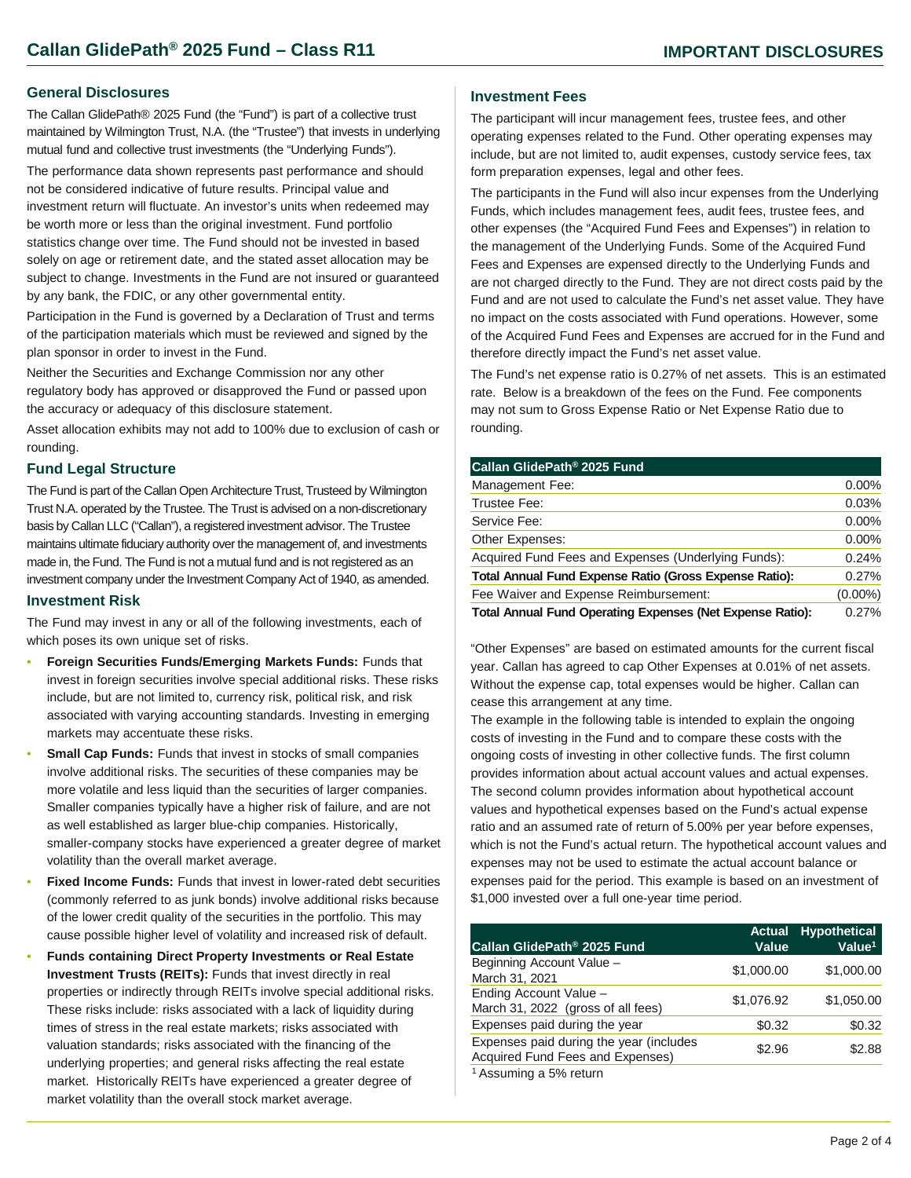#### **General Disclosures**

The Callan GlidePath® 2025 Fund (the "Fund") is part of a collective trust maintained by Wilmington Trust, N.A. (the "Trustee") that invests in underlying mutual fund and collective trust investments (the "Underlying Funds").

The performance data shown represents past performance and should not be considered indicative of future results. Principal value and investment return will fluctuate. An investor's units when redeemed may be worth more or less than the original investment. Fund portfolio statistics change over time. The Fund should not be invested in based solely on age or retirement date, and the stated asset allocation may be subject to change. Investments in the Fund are not insured or guaranteed by any bank, the FDIC, or any other governmental entity.

Participation in the Fund is governed by a Declaration of Trust and terms of the participation materials which must be reviewed and signed by the plan sponsor in order to invest in the Fund.

Neither the Securities and Exchange Commission nor any other regulatory body has approved or disapproved the Fund or passed upon the accuracy or adequacy of this disclosure statement.

Asset allocation exhibits may not add to 100% due to exclusion of cash or rounding.

#### **Fund Legal Structure**

The Fund is part of the Callan Open Architecture Trust, Trusteed by Wilmington Trust N.A. operated by the Trustee. The Trust is advised on a non-discretionary basis by Callan LLC ("Callan"), a registered investment advisor. The Trustee maintains ultimate fiduciary authority over the management of, and investments made in, the Fund. The Fund is not a mutual fund and is not registered as an investment company under the Investment Company Act of 1940, as amended.

#### **Investment Risk**

The Fund may invest in any or all of the following investments, each of which poses its own unique set of risks.

- **Foreign Securities Funds/Emerging Markets Funds:** Funds that invest in foreign securities involve special additional risks. These risks include, but are not limited to, currency risk, political risk, and risk associated with varying accounting standards. Investing in emerging markets may accentuate these risks.
- **Small Cap Funds:** Funds that invest in stocks of small companies involve additional risks. The securities of these companies may be more volatile and less liquid than the securities of larger companies. Smaller companies typically have a higher risk of failure, and are not as well established as larger blue-chip companies. Historically, smaller-company stocks have experienced a greater degree of market volatility than the overall market average.
- **Fixed Income Funds:** Funds that invest in lower-rated debt securities (commonly referred to as junk bonds) involve additional risks because of the lower credit quality of the securities in the portfolio. This may cause possible higher level of volatility and increased risk of default.
- **Funds containing Direct Property Investments or Real Estate Investment Trusts (REITs):** Funds that invest directly in real properties or indirectly through REITs involve special additional risks. These risks include: risks associated with a lack of liquidity during times of stress in the real estate markets; risks associated with valuation standards; risks associated with the financing of the underlying properties; and general risks affecting the real estate market. Historically REITs have experienced a greater degree of market volatility than the overall stock market average.

#### **Investment Fees**

The participant will incur management fees, trustee fees, and other operating expenses related to the Fund. Other operating expenses may include, but are not limited to, audit expenses, custody service fees, tax form preparation expenses, legal and other fees.

The participants in the Fund will also incur expenses from the Underlying Funds, which includes management fees, audit fees, trustee fees, and other expenses (the "Acquired Fund Fees and Expenses") in relation to the management of the Underlying Funds. Some of the Acquired Fund Fees and Expenses are expensed directly to the Underlying Funds and are not charged directly to the Fund. They are not direct costs paid by the Fund and are not used to calculate the Fund's net asset value. They have no impact on the costs associated with Fund operations. However, some of the Acquired Fund Fees and Expenses are accrued for in the Fund and therefore directly impact the Fund's net asset value.

The Fund's net expense ratio is 0.27% of net assets. This is an estimated rate. Below is a breakdown of the fees on the Fund. Fee components may not sum to Gross Expense Ratio or Net Expense Ratio due to rounding.

| Callan GlidePath <sup>®</sup> 2025 Fund                          |            |
|------------------------------------------------------------------|------------|
| Management Fee:                                                  | $0.00\%$   |
| Trustee Fee:                                                     | 0.03%      |
| Service Fee:                                                     | $0.00\%$   |
| Other Expenses:                                                  | 0.00%      |
| Acquired Fund Fees and Expenses (Underlying Funds):              | 0.24%      |
| Total Annual Fund Expense Ratio (Gross Expense Ratio):           | 0.27%      |
| Fee Waiver and Expense Reimbursement:                            | $(0.00\%)$ |
| <b>Total Annual Fund Operating Expenses (Net Expense Ratio):</b> | 0.27%      |

"Other Expenses" are based on estimated amounts for the current fiscal year. Callan has agreed to cap Other Expenses at 0.01% of net assets. Without the expense cap, total expenses would be higher. Callan can cease this arrangement at any time.

The example in the following table is intended to explain the ongoing costs of investing in the Fund and to compare these costs with the ongoing costs of investing in other collective funds. The first column provides information about actual account values and actual expenses. The second column provides information about hypothetical account values and hypothetical expenses based on the Fund's actual expense ratio and an assumed rate of return of 5.00% per year before expenses, which is not the Fund's actual return. The hypothetical account values and expenses may not be used to estimate the actual account balance or expenses paid for the period. This example is based on an investment of \$1,000 invested over a full one-year time period.

| Callan GlidePath <sup>®</sup> 2025 Fund                                     | <b>Actual</b><br>Value | <b>Hypothetical</b><br>Value <sup>1</sup> |
|-----------------------------------------------------------------------------|------------------------|-------------------------------------------|
| Beginning Account Value -<br>March 31, 2021                                 | \$1,000.00             | \$1,000.00                                |
| Ending Account Value -<br>March 31, 2022 (gross of all fees)                | \$1,076.92             | \$1,050.00                                |
| Expenses paid during the year                                               | \$0.32                 | \$0.32                                    |
| Expenses paid during the year (includes<br>Acquired Fund Fees and Expenses) | \$2.96                 | \$2.88                                    |
| <sup>1</sup> Assuming a 5% return                                           |                        |                                           |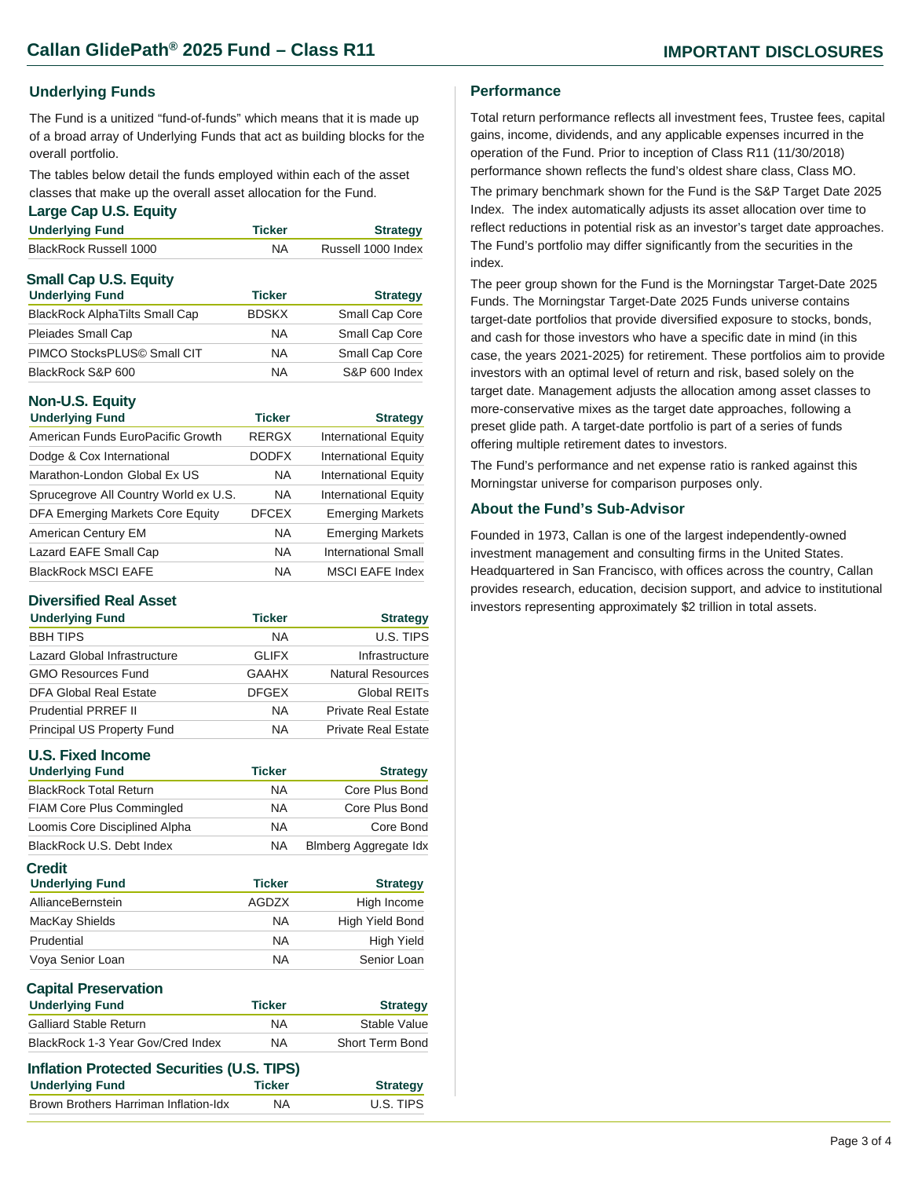#### **Underlying Funds**

The Fund is a unitized "fund-of-funds" which means that it is made up of a broad array of Underlying Funds that act as building blocks for the overall portfolio.

The tables below detail the funds employed within each of the asset classes that make up the overall asset allocation for the Fund.

#### **Large Cap U.S. Equity**

| <b>Underlying Fund</b>       | <b>Ticker</b> | <b>Strategy</b>    |
|------------------------------|---------------|--------------------|
| BlackRock Russell 1000       | <b>NA</b>     | Russell 1000 Index |
| <b>Small Cap U.S. Equity</b> |               |                    |

| <b>Ticker</b> | <b>Strategy</b> |
|---------------|-----------------|
| <b>BDSKX</b>  | Small Cap Core  |
| <b>NA</b>     | Small Cap Core  |
| <b>NA</b>     | Small Cap Core  |
| <b>NA</b>     | S&P 600 Index   |
|               |                 |

### **Non-U.S. Equity**

| <b>Underlying Fund</b>                | <b>Ticker</b> | <b>Strategy</b>             |
|---------------------------------------|---------------|-----------------------------|
| American Funds EuroPacific Growth     | <b>RERGX</b>  | <b>International Equity</b> |
| Dodge & Cox International             | <b>DODFX</b>  | <b>International Equity</b> |
| Marathon-London Global Ex US          | <b>NA</b>     | <b>International Equity</b> |
| Sprucegrove All Country World ex U.S. | <b>NA</b>     | <b>International Equity</b> |
| DFA Emerging Markets Core Equity      | <b>DFCEX</b>  | <b>Emerging Markets</b>     |
| American Century EM                   | <b>NA</b>     | <b>Emerging Markets</b>     |
| Lazard EAFE Small Cap                 | <b>NA</b>     | <b>International Small</b>  |
| <b>BlackRock MSCI EAFE</b>            | <b>NA</b>     | <b>MSCI EAFE Index</b>      |

#### **Diversified Real Asset**

| <b>Underlying Fund</b>       | <b>Ticker</b> | <b>Strategy</b>            |
|------------------------------|---------------|----------------------------|
| <b>BBH TIPS</b>              | <b>NA</b>     | U.S. TIPS                  |
| Lazard Global Infrastructure | <b>GLIFX</b>  | Infrastructure             |
| <b>GMO Resources Fund</b>    | <b>GAAHX</b>  | <b>Natural Resources</b>   |
| DFA Global Real Estate       | <b>DFGEX</b>  | Global REITs               |
| <b>Prudential PRREF II</b>   | <b>NA</b>     | <b>Private Real Estate</b> |
| Principal US Property Fund   | <b>NA</b>     | <b>Private Real Estate</b> |

# **U.S. Fixed Income**

| <b>Underlying Fund</b>                  | <b>Ticker</b> | <b>Strategy</b>       |
|-----------------------------------------|---------------|-----------------------|
| <b>BlackRock Total Return</b>           | <b>NA</b>     | Core Plus Bond        |
| <b>FIAM Core Plus Commingled</b>        | <b>NA</b>     | Core Plus Bond        |
| Loomis Core Disciplined Alpha           | <b>NA</b>     | Core Bond             |
| BlackRock U.S. Debt Index               | <b>NA</b>     | Blmberg Aggregate Idx |
| <b>Credit</b><br><b>Underlying Fund</b> | <b>Ticker</b> | <b>Strategy</b>       |
| AllianceBernstein                       | AGDZX         | High Income           |
| MacKay Shields                          | <b>NA</b>     | High Yield Bond       |
| Prudential                              | <b>NA</b>     | <b>High Yield</b>     |
| Vova Senior Loan                        | <b>NA</b>     | Senior Loan           |

| <b>Underlying Fund</b>            | <b>Ticker</b> | <b>Strategy</b>        |
|-----------------------------------|---------------|------------------------|
| <b>Galliard Stable Return</b>     | NA            | Stable Value           |
| BlackRock 1-3 Year Gov/Cred Index | <b>NA</b>     | <b>Short Term Bond</b> |

| Inflation Protected Securities (U.S. TIPS) |               |                 |
|--------------------------------------------|---------------|-----------------|
| <b>Underlying Fund</b>                     | <b>Ticker</b> | <b>Strategy</b> |
| Brown Brothers Harriman Inflation-Idx      | <b>NA</b>     | U.S. TIPS       |
|                                            |               |                 |

#### **Performance**

Total return performance reflects all investment fees, Trustee fees, capital gains, income, dividends, and any applicable expenses incurred in the operation of the Fund. Prior to inception of Class R11 (11/30/2018) performance shown reflects the fund's oldest share class, Class MO.

The primary benchmark shown for the Fund is the S&P Target Date 2025 Index. The index automatically adjusts its asset allocation over time to reflect reductions in potential risk as an investor's target date approaches. The Fund's portfolio may differ significantly from the securities in the index.

The peer group shown for the Fund is the Morningstar Target-Date 2025 Funds. The Morningstar Target-Date 2025 Funds universe contains target-date portfolios that provide diversified exposure to stocks, bonds, and cash for those investors who have a specific date in mind (in this case, the years 2021-2025) for retirement. These portfolios aim to provide investors with an optimal level of return and risk, based solely on the target date. Management adjusts the allocation among asset classes to more-conservative mixes as the target date approaches, following a preset glide path. A target-date portfolio is part of a series of funds offering multiple retirement dates to investors.

The Fund's performance and net expense ratio is ranked against this Morningstar universe for comparison purposes only.

#### **About the Fund's Sub-Advisor**

Founded in 1973, Callan is one of the largest independently-owned investment management and consulting firms in the United States. Headquartered in San Francisco, with offices across the country, Callan provides research, education, decision support, and advice to institutional investors representing approximately \$2 trillion in total assets.